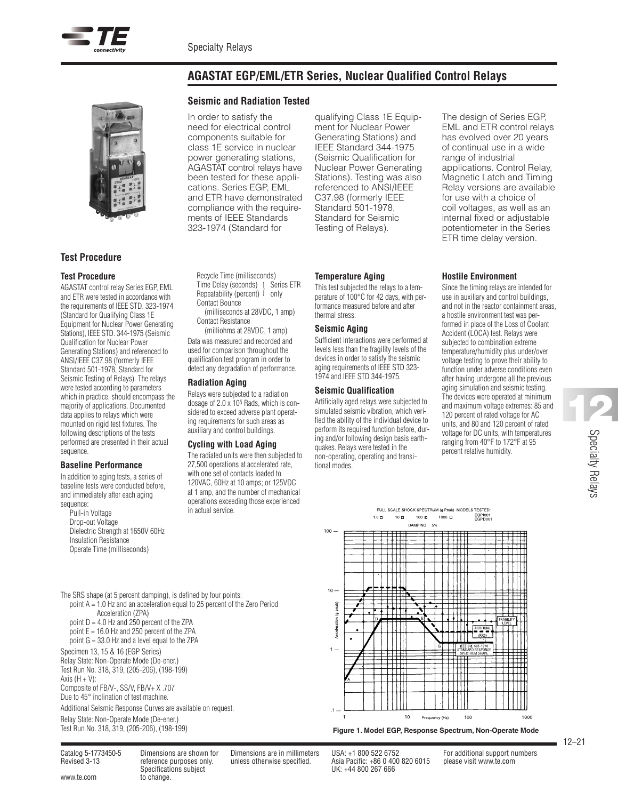**Temperature Aging**

thermal stress. **Seismic Aging**

tional modes.

This test subjected the relays to a temperature of 100°C for 42 days, with performance measured before and after

Sufficient interactions were performed at levels less than the fragility levels of the devices in order to satisfy the seismic aging requirements of IEEE STD 323- 1974 and IEEE STD 344-1975. **Seismic Qualification** Artificially aged relays were subjected to simulated seismic vibration, which verified the ability of the individual device to perform its required function before, during and/or following design basis earthquakes. Relays were tested in the non-operating, operating and transi-



# **Test Procedure**

### **Test Procedure**

AGASTAT control relay Series EGP, EML and ETR were tested in accordance with the requirements of IEEE STD. 323-1974 (Standard for Qualifying Class 1E Equipment for Nuclear Power Generating Stations), IEEE STD. 344-1975 (Seismic Qualification for Nuclear Power Generating Stations) and referenced to ANSI/IEEE C37.98 (formerly IEEE Standard 501-1978, Standard for Seismic Testing of Relays). The relays were tested according to parameters which in practice, should encompass the majority of applications. Documented data applies to relays which were mounted on rigid test fixtures. The following descriptions of the tests performed are presented in their actual sequence.

### **Baseline Performance**

In addition to aging tests, a series of baseline tests were conducted before, and immediately after each aging sequence:

Pull-in Voltage Drop-out Voltage Dielectric Strength at 1650V 60Hz Insulation Resistance Operate Time (milliseconds)

### **Seismic and Radiation Tested**

In order to satisfy the need for electrical control components suitable for class 1E service in nuclear power generating stations, AGASTAT control relays have been tested for these applications. Series EGP, EML and ETR have demonstrated compliance with the requirements of IEEE Standards 323-1974 (Standard for

qualifying Class 1E Equipment for Nuclear Power Generating Stations) and IEEE Standard 344-1975 (Seismic Qualification for Nuclear Power Generating Stations). Testing was also referenced to ANSI/IEEE C37.98 (formerly IEEE Standard 501-1978, Standard for Seismic Testing of Relays).

The design of Series EGP, EML and ETR control relays has evolved over 20 years of continual use in a wide range of industrial applications. Control Relay, Magnetic Latch and Timing Relay versions are available for use with a choice of coil voltages, as well as an internal fixed or adjustable potentiometer in the Series ETR time delay version.

### **Hostile Environment**

Since the timing relays are intended for use in auxiliary and control buildings, and not in the reactor containment areas, a hostile environment test was performed in place of the Loss of Coolant Accident (LOCA) test. Relays were subjected to combination extreme temperature/humidity plus under/over voltage testing to prove their ability to function under adverse conditions even after having undergone all the previous aging simulation and seismic testing. The devices were operated at minimum and maximum voltage extremes: 85 and 120 percent of rated voltage for AC units, and 80 and 120 percent of rated voltage for DC units, with temperatures ranging from 40°F to 172°F at 95 percent relative humidity.

Recycle Time (milliseconds) Time Delay (seconds) | Series ETR  $\frac{1}{2}$  Repeatability (percent)  $\frac{1}{2}$  only Contact Bounce (milliseconds at 28VDC, 1 amp)

Contact Resistance (milliohms at 28VDC, 1 amp)

Data was measured and recorded and used for comparison throughout the qualification test program in order to detect any degradation of performance.

#### **Radiation Aging**

Relays were subjected to a radiation dosage of 2.0 x 105 Rads, which is considered to exceed adverse plant operating requirements for such areas as auxiliary and control buildings.

### **Cycling with Load Aging**

The radiated units were then subjected to 27,500 operations at accelerated rate, with one set of contacts loaded to 120VAC, 60Hz at 10 amps; or 125VDC at 1 amp, and the number of mechanical operations exceeding those experienced in actual service.

#### FULL SCALE SHOCK SPECTRUM (g Peak) MODELS TESTED EGPI001<br>EGPD001  $1.0 \square$  $10\ \square$  $100B$  $1000 \square$



The SRS shape (at 5 percent damping), is defined by four points: point A = 1.0 Hz and an acceleration equal to 25 percent of the Zero Period Acceleration (ZPA) point  $D = 4.0$  Hz and  $250$  percent of the ZPA point  $E = 16.0$  Hz and 250 percent of the ZPA

point  $G = 33.0$  Hz and a level equal to the ZPA

Specimen 13, 15 & 16 (EGP Series) Relay State: Non-Operate Mode (De-ener.) Test Run No. 318, 319, (205-206), (198-199) Axis  $(H + V)$ : Composite of FB/V-, SS/V, FB/V+ X .707

Due to 45° inclination of test machine.

Additional Seismic Response Curves are available on request. Relay State: Non-Operate Mode (De-ener.)

www.te.com to change.

Catalog 5-1773450-5 Dimensions are shown for Dimensions are in millimeters USA: +1 800 522 6752 For additional support numbers Specifications subject UK: +44 800 267 666

Revised 3-13 reference purposes only. unless otherwise specified. Asia Pacific: +86 0 400 820 6015 please visit www.te.com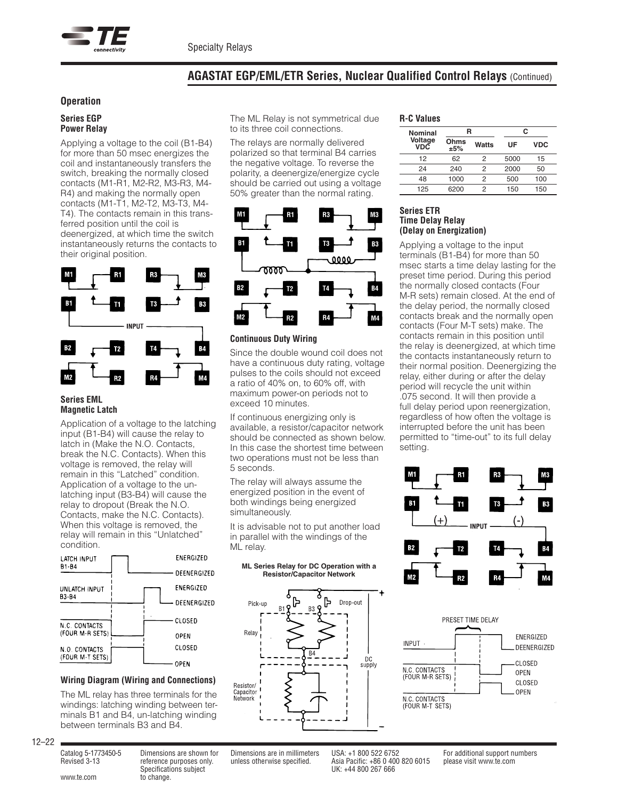

# **Operation**

#### **Series EGP Power Relay**

Applying a voltage to the coil (B1-B4) for more than 50 msec energizes the coil and instantaneously transfers the switch, breaking the normally closed contacts (M1-R1, M2-R2, M3-R3, M4- R4) and making the normally open contacts (M1-T1, M2-T2, M3-T3, M4- T4). The contacts remain in this transferred position until the coil is deenergized, at which time the switch instantaneously returns the contacts to their original position.



#### **Series EML Magnetic Latch**

Application of a voltage to the latching input (B1-B4) will cause the relay to latch in (Make the N.O. Contacts, break the N.C. Contacts). When this voltage is removed, the relay will remain in this "Latched" condition. Application of a voltage to the unlatching input (B3-B4) will cause the relay to dropout (Break the N.O. Contacts, make the N.C. Contacts). When this voltage is removed, the relay will remain in this "Unlatched" condition.



# **Wiring Diagram (Wiring and Connections)**

The ML relay has three terminals for the windings: latching winding between terminals B1 and B4, un-latching winding between terminals B3 and B4.

The ML Relay is not symmetrical due to its three coil connections.

The relays are normally delivered polarized so that terminal B4 carries the negative voltage. To reverse the polarity, a deenergize/energize cycle should be carried out using a voltage 50% greater than the normal rating.



# **Continuous Duty Wiring**

Since the double wound coil does not have a continuous duty rating, voltage pulses to the coils should not exceed a ratio of 40% on, to 60% off, with maximum power-on periods not to exceed 10 minutes.

If continuous energizing only is available, a resistor/capacitor network should be connected as shown below. In this case the shortest time between two operations must not be less than 5 seconds.

The relay will always assume the energized position in the event of both windings being energized simultaneously.

It is advisable not to put another load in parallel with the windings of the ML relay.

#### **ML Series Relay for DC Operation with a Resistor/Capacitor Network**



# **R-C Values**

| <b>Nominal</b> | R           |       | C    |            |
|----------------|-------------|-------|------|------------|
| Voltage<br>VDC | Ohms<br>±5% | Watts | UF   | <b>VDC</b> |
| 12             | 62          | 2     | 5000 | 15         |
| 24             | 240         | 2     | 2000 | 50         |
| 48             | 1000        | 2     | 500  | 100        |
| 125            | 6200        | 2     | 150  | 150        |

### **Series ETR Time Delay Relay (Delay on Energization)**

Applying a voltage to the input terminals (B1-B4) for more than 50 msec starts a time delay lasting for the preset time period. During this period the normally closed contacts (Four M-R sets) remain closed. At the end of the delay period, the normally closed contacts break and the normally open contacts (Four M-T sets) make. The contacts remain in this position until the relay is deenergized, at which time the contacts instantaneously return to their normal position. Deenergizing the relay, either during or after the delay period will recycle the unit within .075 second. It will then provide a full delay period upon reenergization, regardless of how often the voltage is interrupted before the unit has been permitted to "time-out" to its full delay setting.





12–22

www.te.com to change.

Catalog 5-1773450-5 Dimensions are shown for Dimensions are in millimeters USA: +1 800 522 6752 For additional support numbers Specifications subject UK: +44 800 267 666

Revised 3-13 reference purposes only. unless otherwise specified. Asia Pacific: +86 0 400 820 6015 please visit www.te.com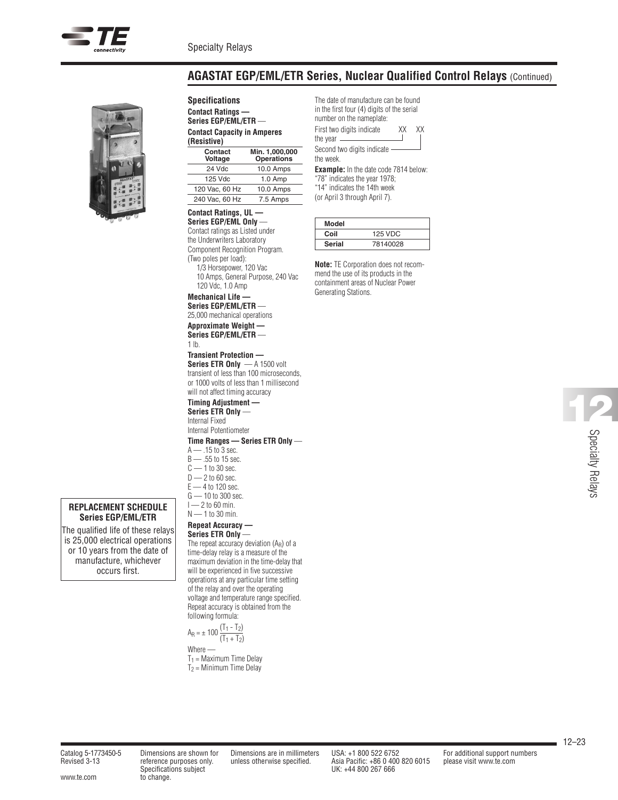



**REPLACEMENT SCHEDULE Series EGP/EML/ETR** The qualified life of these relays is 25,000 electrical operations or 10 years from the date of manufacture, whichever occurs first.

**Specifications Contact Ratings — Series EGP/EML/ETR** — **Contact Capacity in Amperes (Resistive)**

| Contact<br>Voltage | Min. 1,000,000<br><b>Operations</b> |  |  |
|--------------------|-------------------------------------|--|--|
| 24 Vdc             | 10.0 Amps                           |  |  |
| 125 Vdc            | $1.0$ Amp                           |  |  |
| 120 Vac, 60 Hz     | 10.0 Amps                           |  |  |
| 240 Vac, 60 Hz     | 7.5 Amps                            |  |  |

### **Contact Ratings, UL —**

**Series EGP/EML Only** — Contact ratings as Listed under the Underwriters Laboratory Component Recognition Program. (Two poles per load): 1/3 Horsepower, 120 Vac 10 Amps, General Purpose, 240 Vac 120 Vdc, 1.0 Amp

**Mechanical Life — Series EGP/EML/ETR** —

25,000 mechanical operations **Approximate Weight — Series EGP/EML/ETR** —

# 1 lb.

**Transient Protection — Series ETR Only** — A 1500 volt transient of less than 100 microseconds, or 1000 volts of less than 1 millisecond will not affect timing accuracy

**Timing Adjustment — Series ETR Only** —

Internal Fixed Internal Potentiometer

# **Time Ranges — Series ETR Only** —

- A .15 to 3 sec. B — .55 to 15 sec.  $C - 1$  to 30 sec.  $D - 2$  to 60 sec.  $E$  — 4 to 120 sec. G — 10 to 300 sec.  $I - 2$  to 60 min.
- $N$  1 to 30 min.

# **Repeat Accuracy —**

**Series ETR Only** — The repeat accuracy deviation (AR) of a time-delay relay is a measure of the maximum deviation in the time-delay that will be experienced in five successive operations at any particular time setting of the relay and over the operating voltage and temperature range specified. Repeat accuracy is obtained from the following formula:

$$
A_R = \pm 100 \frac{(T_1 - T_2)}{(T_1 + T_2)}
$$
  
Where —

 $T_1$  = Maximum Time Delay  $T_2$  = Minimum Time Delay

The date of manufacture can be found in the first four (4) digits of the serial number on the nameplate:

First two digits indicate XX XX the year

Second two digits indicate the week.

**Example:** In the date code 7814 below: "78" indicates the year 1978; "14" indicates the 14th week (or April 3 through April 7).

| Model         |                |  |  |  |
|---------------|----------------|--|--|--|
| Coil          | <b>125 VDC</b> |  |  |  |
| <b>Serial</b> | 78140028       |  |  |  |

**Note:** TE Corporation does not recommend the use of its products in the containment areas of Nuclear Power Generating Stations.

> Specialty Relays **12**

Specifications subject UK: +44 800 267 666

Revised 3-13 reference purposes only. unless otherwise specified. Asia Pacific: +86 0 400 820 6015 please visit www.te.com

Catalog 5-1773450-5 Dimensions are shown for Dimensions are in millimeters USA: +1 800 522 6752 For additional support numbers

www.te.com to change.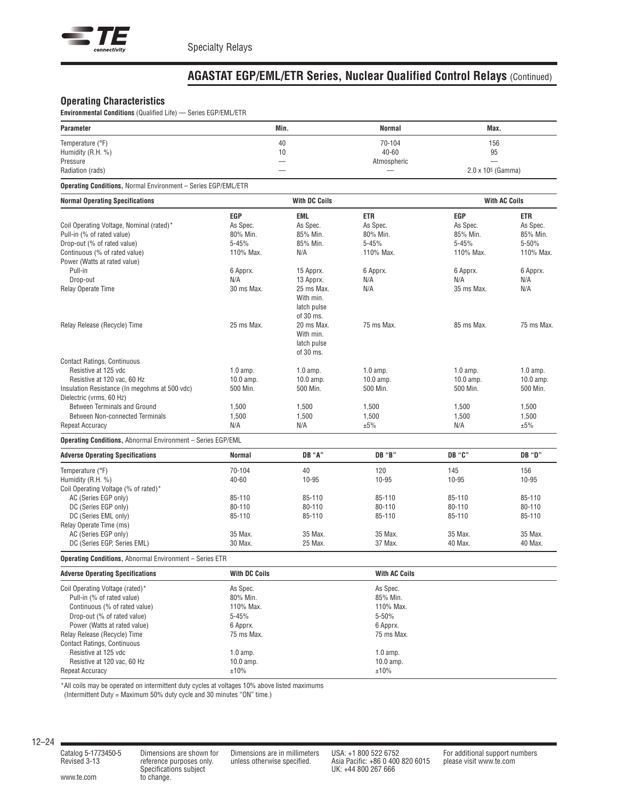

# **Operating Characteristics**

**Environmental Conditions** (Qualified Life) — Series EGP/EML/ETR

| Parameter                                                            |               | Min.                 | Normal        | Max.                          |                      |
|----------------------------------------------------------------------|---------------|----------------------|---------------|-------------------------------|----------------------|
| Temperature (°F)                                                     |               | 40                   | 70-104        | 156                           |                      |
| Humidity (R.H. %)                                                    |               | 10                   | $40 - 60$     | 95                            |                      |
| Pressure                                                             |               |                      | Atmospheric   |                               |                      |
| Radiation (rads)                                                     |               |                      |               | 2.0 x 10 <sup>5</sup> (Gamma) |                      |
| <b>Operating Conditions, Normal Environment - Series EGP/EML/ETR</b> |               |                      |               |                               |                      |
| <b>Normal Operating Specifications</b>                               |               | <b>With DC Coils</b> |               |                               | <b>With AC Coils</b> |
|                                                                      | EGP           | EML                  | ETR           | EGP                           | ETR                  |
| Coil Operating Voltage, Nominal (rated)*                             | As Spec.      | As Spec.             | As Spec.      | As Spec.                      | As Spec.             |
| Pull-in (% of rated value)                                           | 80% Min.      | 85% Min.             | 80% Min.      | 85% Min.                      | 85% Min.             |
| Drop-out (% of rated value)                                          | $5 - 45%$     | 85% Min.             | $5 - 45%$     | $5 - 45%$                     | 5-50%                |
| Continuous (% of rated value)                                        | 110% Max.     | N/A                  | 110% Max.     | 110% Max.                     | 110% Max.            |
| Power (Watts at rated value)                                         |               |                      |               |                               |                      |
| Pull-in                                                              | 6 Apprx.      | 15 Apprx.            | 6 Apprx.      | 6 Apprx.                      | 6 Apprx.             |
| Drop-out                                                             | N/A           | 13 Apprx.            | N/A           | N/A                           | N/A                  |
| Relay Operate Time                                                   | 30 ms Max.    | 25 ms Max.           | N/A           | 35 ms Max.                    | N/A                  |
|                                                                      |               | With min.            |               |                               |                      |
|                                                                      |               | latch pulse          |               |                               |                      |
|                                                                      |               | of 30 ms.            |               |                               |                      |
| Relay Release (Recycle) Time                                         | 25 ms Max.    | 20 ms Max.           | 75 ms Max.    | 85 ms Max.                    | 75 ms Max.           |
|                                                                      |               | With min.            |               |                               |                      |
|                                                                      |               | latch pulse          |               |                               |                      |
|                                                                      |               | of 30 ms.            |               |                               |                      |
| <b>Contact Ratings, Continuous</b>                                   |               |                      |               |                               |                      |
| Resistive at 125 vdc                                                 | $1.0$ amp.    | $1.0$ amp.           | $1.0$ amp.    | $1.0$ amp.                    | $1.0$ amp.           |
| Resistive at 120 vac, 60 Hz                                          | $10.0$ amp.   | $10.0$ amp.          | $10.0$ amp.   | $10.0$ amp.                   | $10.0$ amp.          |
| Insulation Resistance (In megohms at 500 vdc)                        | 500 Min.      | 500 Min.             | 500 Min.      | 500 Min.                      | 500 Min.             |
| Dielectric (vrms, 60 Hz)                                             |               |                      |               |                               |                      |
| Between Terminals and Ground                                         | 1,500         | 1,500                | 1,500         | 1,500                         | 1,500                |
| <b>Between Non-connected Terminals</b>                               | 1,500         | 1,500                | 1,500         | 1,500                         | 1,500                |
| <b>Repeat Accuracy</b>                                               | N/A           | N/A                  | ±5%           | N/A                           | ±5%                  |
| <b>Operating Conditions, Abnormal Environment - Series EGP/EML</b>   |               |                      |               |                               |                      |
| <b>Adverse Operating Specifications</b>                              | Normal        | DB "A"               | <b>DB</b> "B" | DB "C"                        | DB "D"               |
| Temperature (°F)                                                     | 70-104        | 40                   | 120           | 145                           | 156                  |
| Humidity (R.H. %)                                                    | 40-60         | 10-95                | $10 - 95$     | $10 - 95$                     | 10-95                |
| Coil Operating Voltage (% of rated)*                                 |               |                      |               |                               |                      |
| AC (Series EGP only)                                                 | 85-110        | 85-110               | 85-110        | 85-110                        | 85-110               |
| DC (Series EGP only)                                                 | 80-110        | 80-110               | 80-110        | 80-110                        | 80-110               |
| DC (Series EML only)                                                 | 85-110        | 85-110               | 85-110        | 85-110                        | 85-110               |
| Relay Operate Time (ms)                                              |               |                      |               |                               |                      |
| AC (Series EGP only)                                                 | 35 Max.       | 35 Max.              | 35 Max.       | 35 Max.                       | 35 Max.              |
| DC (Series EGP, Series EML)                                          | 30 Max.       | 25 Max.              | 37 Max.       | 40 Max.                       | 40 Max.              |
| <b>Operating Conditions, Abnormal Environment - Series ETR</b>       |               |                      |               |                               |                      |
| <b>Adverse Operating Specifications</b>                              | With DC Coils |                      | With AC Coils |                               |                      |
| Coil Operating Voltage (rated)*                                      | As Spec.      |                      | As Spec.      |                               |                      |
| Pull-in (% of rated value)                                           | 80% Min.      |                      | 85% Min.      |                               |                      |
| Continuous (% of rated value)                                        | 110% Max.     |                      | 110% Max.     |                               |                      |
| Drop-out (% of rated value)                                          | $5 - 45%$     |                      | 5-50%         |                               |                      |
| Power (Watts at rated value)                                         | 6 Apprx.      |                      | 6 Apprx.      |                               |                      |
| Relay Release (Recycle) Time                                         | 75 ms Max.    |                      | 75 ms Max.    |                               |                      |
| <b>Contact Ratings, Continuous</b>                                   |               |                      |               |                               |                      |
| Resistive at 125 vdc                                                 | $1.0$ amp.    |                      | $1.0$ amp.    |                               |                      |
| Resistive at 120 vac. 60 Hz                                          | $10.0$ amp.   |                      | 10.0 amp.     |                               |                      |
| Repeat Accuracy                                                      | ±10%          |                      | ±10%          |                               |                      |
|                                                                      |               |                      |               |                               |                      |

\*All coils may be operated on intermittent duty cycles at voltages 10% above listed maximums

(Intermittent Duty = Maximum 50% duty cycle and 30 minutes "ON" time.)

Financial are substituted<br>reference purposes only.<br>Specifications subject

www.te.com to change.

Catalog 5-1773450-5 Dimensions are shown for Dimensions are in millimeters USA: +1 800 522 6752 For additional support numbers<br>Revised 3-13 reference purposes only. unless otherwise specified. Asia Pacific: +86 0 400 820 6 reference purposes only. unless otherwise and assume the expectations are in immediately and the Revised 3-13<br>Revised 3-13 reference purposes only. unless otherwise specified. Asia Pacific: +86 0 400 820 6015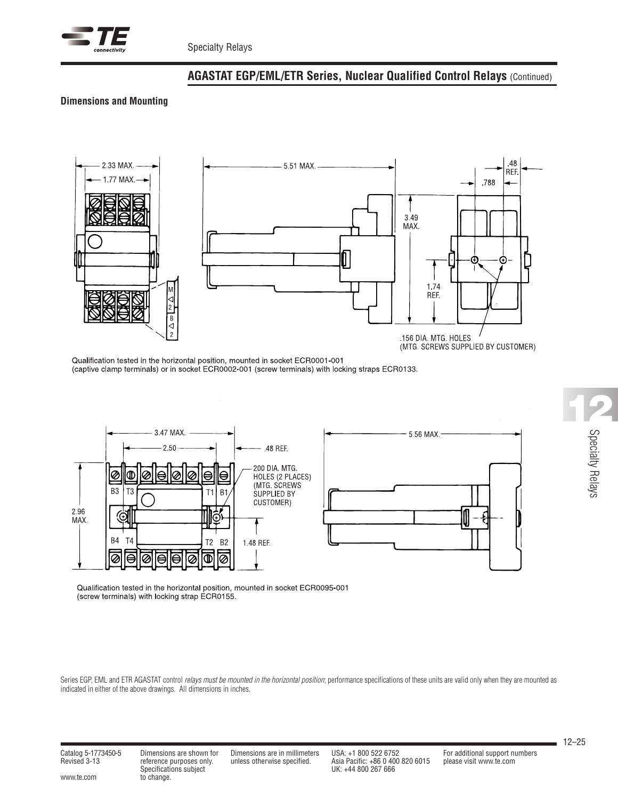

# **Dimensions and Mounting**



Qualification tested in the horizontal position, mounted in socket ECR0001-001 (captive clamp terminals) or in socket ECR0002-001 (screw terminals) with locking straps ECR0133.



Qualification tested in the horizontal position, mounted in socket ECR0095-001 (screw terminals) with locking strap ECR0155.

Series EGP, EML and ETR AGASTAT control relays must be mounted in the horizontal position; performance specifications of these units are valid only when they are mounted as indicated in either of the above drawings. All dimensions in inches.

Specifications subject<br>www.te.com to change.

Specifications subject UK: +44 800 267 666

Catalog 5-1773450-5 Dimensions are shown for Dimensions are in millimeters USA: +1 800 522 6752 For additional support numbers Revised 3-13 reference purposes only. unless otherwise specified. Asia Pacific: +86 0 400 820 6015 please visit www.te.com

12–25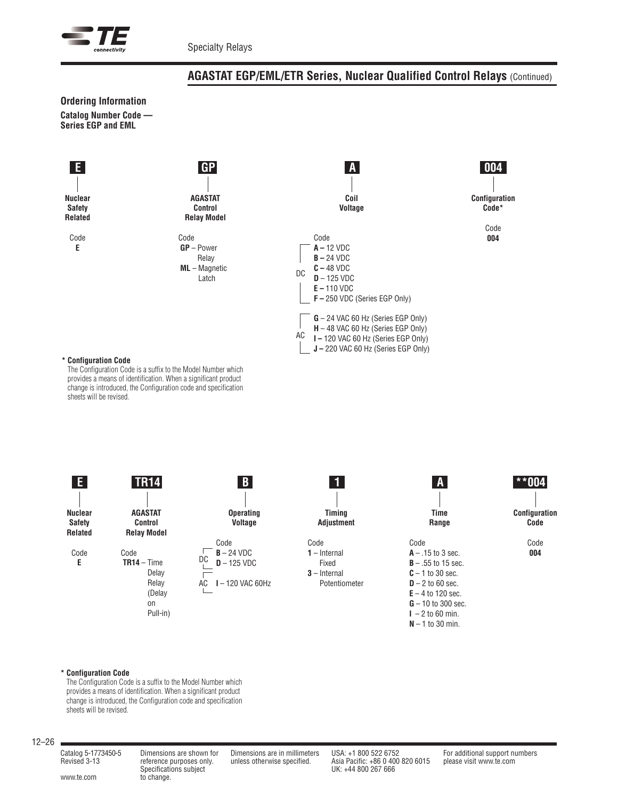



### **\* Configuration Code**

The Configuration Code is a suffix to the Model Number which provides a means of identification. When a significant product change is introduced, the Configuration code and specification sheets will be revised.



#### **\* Configuration Code**

The Configuration Code is a suffix to the Model Number which provides a means of identification. When a significant product change is introduced, the Configuration code and specification sheets will be revised.

### 12–26

Specifications subject<br>www.te.com to change.

Specifications subject UK: +44 800 267 666

Catalog 5-1773450-5 Dimensions are shown for Dimensions are in millimeters USA: +1 800 522 6752 For additional support numbers Revised 3-13 reference purposes only. unless otherwise specified. Asia Pacific: +86 0 400 820 6015 please visit www.te.com